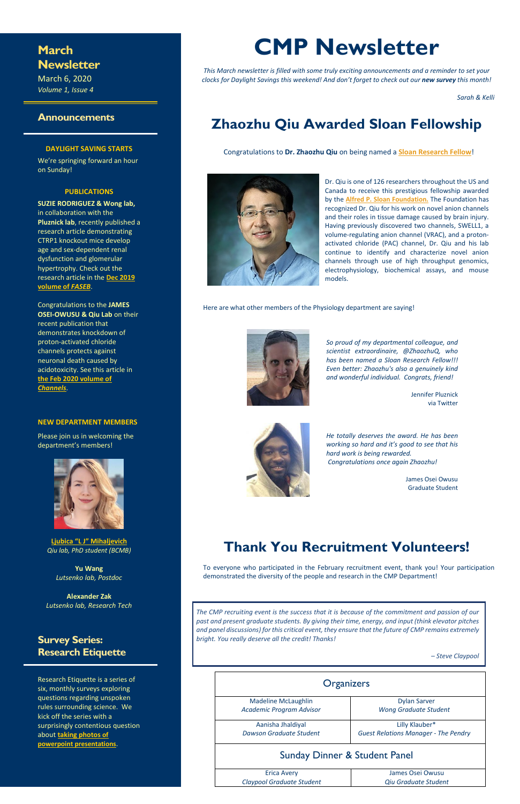## **March Newsletter**

March 6, 2020 *Volume 1, Issue 4*

#### **Announcements**

#### **DAYLIGHT SAVING STARTS**

We're springing forward an hour on Sunday!

#### **PUBLICATIONS**

**SUZIE RODRIGUEZ & Wong lab,**  in collaboration with the **Pluznick lab**, recently published a research article demonstrating CTRP1 knockout mice develop age and sex-dependent renal dysfunction and glomerular hypertrophy. Check out the research article in the **[Dec 2019](https://faseb.onlinelibrary.wiley.com/doi/epdf/10.1096/fj.201900558RR)  [volume of](https://faseb.onlinelibrary.wiley.com/doi/epdf/10.1096/fj.201900558RR)** *FASEB*.

Congratulations to the **JAMES OSEI-OWUSU & Qiu Lab** on their recent publication that demonstrates knockdown of proton-activated chloride channels protects against neuronal death caused by acidotoxicity. See this article in **the Feb [2020 volume of](https://www.tandfonline.com/doi/pdf/10.1080/19336950.2020.1730019?needAccess=true)** *[Channels](https://www.tandfonline.com/doi/pdf/10.1080/19336950.2020.1730019?needAccess=true)*.

#### **NEW DEPARTMENT MEMBERS**

Please join us in welcoming the department's members!



**[Ljubica "L J" Mihaljevich](https://bcmb.bs.jhmi.edu/people/students/ljubica-mihaljevic)** *Qiu lab, PhD student (BCMB)*

**Yu Wang** *Lutsenko lab, Postdoc*

**Alexander Zak** *Lutsenko lab, Research Tech*

### **Survey Series: Research Etiquette**

Research Etiquette is a series of six, monthly surveys exploring questions regarding unspoken rules surrounding science. We kick off the series with a surprisingly contentious question about **[taking photos](https://forms.office.com/Pages/ResponsePage.aspx?id=OPSkn-axO0eAP4b4rt8N7Lvtb5rqdK1GtJp5wHrjrUdUREdVNEJSNk00NzJVWFY5MjdGM1pTWEtFMy4u) of powerpoint presentations**.

# **CMP Newsletter**

*This March newsletter is filled with some truly exciting announcements and a reminder to set your clocks for Daylight Savings this weekend! And don't forget to check out our new survey this month!*

*Sarah & Kelli*

# **Zhaozhu Qiu Awarded Sloan Fellowship**

Congratulations to **Dr. Zhaozhu Qiu** on being named a **[Sloan Research Fellow](https://hub.jhu.edu/2020/02/12/zhaozhu-qiu-sloan-research-fellow-649-em0-art1-dtd-news/)**!



Dr. Qiu is one of 126 researchers throughout the US and Canada to receive this prestigious fellowship awarded by the **[Alfred P. Sloan Foundation.](https://sloan.org/)** The Foundation has recognized Dr. Qiu for his work on novel anion channels and their roles in tissue damage caused by brain injury. Having previously discovered two channels, SWELL1, a volume-regulating anion channel (VRAC), and a protonactivated chloride (PAC) channel, Dr. Qiu and his lab continue to identify and characterize novel anion channels through use of high throughput genomics, electrophysiology, biochemical assays, and mouse models.

Here are what other members of the Physiology department are saying!



*So proud of my departmental colleague, and scientist extraordinaire, @ZhaozhuQ, who has been named a Sloan Research Fellow!!! Even better: Zhaozhu's also a genuinely kind and wonderful individual. Congrats, friend!*

> Jennifer Pluznick via Twitter



*He totally deserves the award. He has been working so hard and it's good to see that his hard work is being rewarded. Congratulations once again Zhaozhu!*

> James Osei Owusu Graduate Student

# **Thank You Recruitment Volunteers!**

To everyone who participated in the February recruitment event, thank you! Your participation demonstrated the diversity of the people and research in the CMP Department!

| <b>Organizers</b>                        |                                             |  |
|------------------------------------------|---------------------------------------------|--|
| <b>Madeline McLaughlin</b>               | <b>Dylan Sarver</b>                         |  |
| Academic Program Advisor                 | <b>Wong Graduate Student</b>                |  |
| Aanisha Jhaldiyal                        | Lilly Klauber*                              |  |
| Dawson Graduate Student                  | <b>Guest Relations Manager - The Pendry</b> |  |
| <b>Sunday Dinner &amp; Student Panel</b> |                                             |  |
| <b>Erica Avery</b>                       | James Osei Owusu                            |  |
| Claypool Graduate Student                | Qiu Graduate Student                        |  |

*The CMP recruiting event is the success that it is because of the commitment and passion of our past and present graduate students. By giving their time, energy, and input (think elevator pitches and panel discussions) for this critical event, they ensure that the future of CMP remains extremely bright. You really deserve all the credit! Thanks!*

*– Steve Claypool*